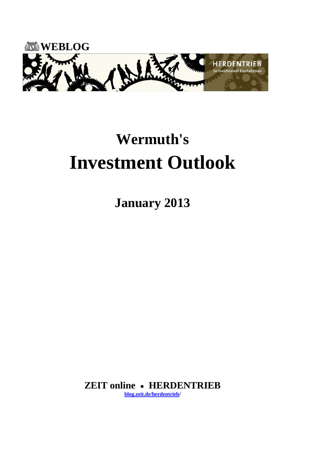

# **Wermuth's Investment Outlook**

**January 2013**

**ZEIT online HERDENTRIEB [blog.zeit.de/herdentrieb/](http://blog.zeit.de/herdentrieb/)**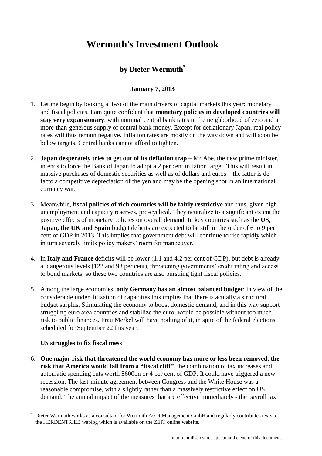# **Wermuth's Investment Outlook**

## **by Dieter Wermuth\***

### **January 7, 2013**

- 1. Let me begin by looking at two of the main drivers of capital markets this year: monetary and fiscal policies. I am quite confident that **monetary policies in developed countries will stay very expansionary**, with nominal central bank rates in the neighborhood of zero and a more-than-generous supply of central bank money. Except for deflationary Japan, real policy rates will thus remain negative. Inflation rates are mostly on the way down and will soon be below targets. Central banks cannot afford to tighten.
- 2. **Japan desperately tries to get out of its deflation trap** Mr Abe, the new prime minister, intends to force the Bank of Japan to adopt a 2 per cent inflation target. This will result in massive purchases of domestic securities as well as of dollars and euros – the latter is de facto a competitive depreciation of the yen and may be the opening shot in an international currency war.
- 3. Meanwhile, **fiscal policies of rich countries will be fairly restrictive** and thus, given high unemployment and capacity reserves, pro-cyclical. They neutralize to a significant extent the positive effects of monetary policies on overall demand. In key countries such as the **US, Japan, the UK and Spain** budget deficits are expected to be still in the order of 6 to 9 per cent of GDP in 2013. This implies that government debt will continue to rise rapidly which in turn severely limits policy makers' room for manoeuver.
- 4. In **Italy and France** deficits will be lower (1.1 and 4.2 per cent of GDP), but debt is already at dangerous levels (122 and 93 per cent), threatening governments' credit rating and access to bond markets; so these two countries are also pursuing tight fiscal policies.
- 5. Among the large economies, **only Germany has an almost balanced budget**; in view of the considerable underutilization of capacities this implies that there is actually a structural budget surplus. Stimulating the economy to boost domestic demand, and in this way support struggling euro area countries and stabilize the euro, would be possible without too much risk to public finances. Frau Merkel will have nothing of it, in spite of the federal elections scheduled for September 22 this year.

#### **US struggles to fix fiscal mess**

6. **One major risk that threatened the world economy has more or less been removed, the risk that America would fall from a "fiscal cliff"**, the combination of tax increases and automatic spending cuts worth \$600bn or 4 per cent of GDP. It could have triggered a new recession. The last-minute agreement between Congress and the White House was a reasonable compromise, with a slightly rather than a massively restrictive effect on US demand. The annual impact of the measures that are effective immediately - the payroll tax

Dieter Wermuth works as a consultant for Wermuth Asset Management GmbH and regularly contributes texts to the HERDENTRIEB weblog which is available on the ZEIT online website.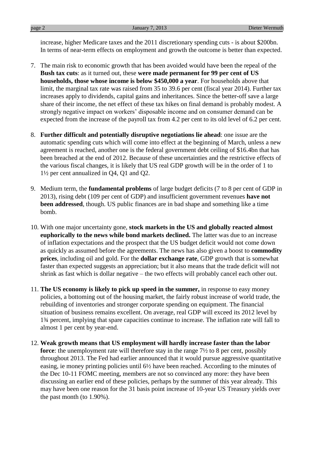increase, higher Medicare taxes and the 2011 discretionary spending cuts - is about \$200bn. In terms of near-term effects on employment and growth the outcome is better than expected.

- 7. The main risk to economic growth that has been avoided would have been the repeal of the **Bush tax cuts**: as it turned out, these **were made permanent for 99 per cent of US households, those whose income is below \$450,000 a year**. For households above that limit, the marginal tax rate was raised from 35 to 39.6 per cent (fiscal year 2014). Further tax increases apply to dividends, capital gains and inheritances. Since the better-off save a large share of their income, the net effect of these tax hikes on final demand is probably modest. A strongly negative impact on workers' disposable income and on consumer demand can be expected from the increase of the payroll tax from 4.2 per cent to its old level of 6.2 per cent.
- 8. **Further difficult and potentially disruptive negotiations lie ahead**: one issue are the automatic spending cuts which will come into effect at the beginning of March, unless a new agreement is reached, another one is the federal government debt ceiling of \$16.4bn that has been breached at the end of 2012. Because of these uncertainties and the restrictive effects of the various fiscal changes, it is likely that US real GDP growth will be in the order of 1 to 1½ per cent annualized in Q4, Q1 and Q2.
- 9. Medium term, the **fundamental problems** of large budget deficits (7 to 8 per cent of GDP in 2013), rising debt (109 per cent of GDP) and insufficient government revenues **have not been addressed**, though. US public finances are in bad shape and something like a time bomb.
- 10. With one major uncertainty gone, **stock markets in the US and globally reacted almost euphorically to the news while bond markets declined.** The latter was due to an increase of inflation expectations and the prospect that the US budget deficit would not come down as quickly as assumed before the agreements. The news has also given a boost to **commodity prices**, including oil and gold. For the **dollar exchange rate**, GDP growth that is somewhat faster than expected suggests an appreciation; but it also means that the trade deficit will not shrink as fast which is dollar negative – the two effects will probably cancel each other out.
- 11. **The US economy is likely to pick up speed in the summer,** in response to easy money policies, a bottoming out of the housing market, the fairly robust increase of world trade, the rebuilding of inventories and stronger corporate spending on equipment. The financial situation of business remains excellent. On average, real GDP will exceed its 2012 level by 1¾ percent, implying that spare capacities continue to increase. The inflation rate will fall to almost 1 per cent by year-end.
- 12. **Weak growth means that US employment will hardly increase faster than the labor force**: the unemployment rate will therefore stay in the range  $7\frac{1}{2}$  to 8 per cent, possibly throughout 2013. The Fed had earlier announced that it would pursue aggressive quantitative easing, ie money printing policies until 6½ have been reached. According to the minutes of the Dec 10-11 FOMC meeting, members are not so convinced any more: they have been discussing an earlier end of these policies, perhaps by the summer of this year already. This may have been one reason for the 31 basis point increase of 10-year US Treasury yields over the past month (to 1.90%).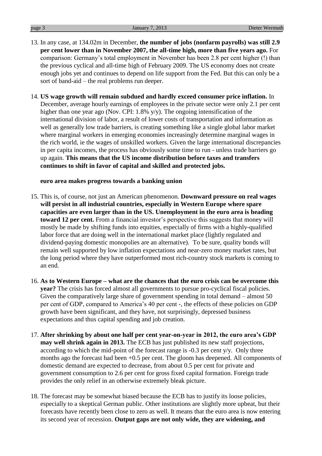- 13. In any case, at 134.02m in December, **the number of jobs (nonfarm payrolls) was still 2.9 per cent lower than in November 2007, the all-time high, more than five years ago.** For comparison: Germany's total employment in November has been 2.8 per cent higher (!) than the previous cyclical and all-time high of February 2009. The US economy does not create enough jobs yet and continues to depend on life support from the Fed. But this can only be a sort of band-aid – the real problems run deeper.
- 14. **US wage growth will remain subdued and hardly exceed consumer price inflation.** In December, average hourly earnings of employees in the private sector were only 2.1 per cent higher than one year ago (Nov. CPI: 1.8% y/y). The ongoing intensification of the international division of labor, a result of lower costs of transportation and information as well as generally low trade barriers, is creating something like a single global labor market where marginal workers in emerging economies increasingly determine marginal wages in the rich world, ie the wages of unskilled workers. Given the large international discrepancies in per capita incomes, the process has obviously some time to run - unless trade barriers go up again. **This means that the US income distribution before taxes and transfers continues to shift in favor of capital and skilled and protected jobs.**

#### **euro area makes progress towards a banking union**

- 15. This is, of course, not just an American phenomenon. **Downward pressure on real wages will persist in all industrial countries, especially in Western Europe where spare capacities are even larger than in the US. Unemployment in the euro area is heading toward 12 per cent.** From a financial investor's perspective this suggests that money will mostly be made by shifting funds into equities, especially of firms with a highly-qualified labor force that are doing well in the international market place (lightly regulated and dividend-paying domestic monopolies are an alternative). To be sure, quality bonds will remain well supported by low inflation expectations and near-zero money market rates, but the long period where they have outperformed most rich-country stock markets is coming to an end.
- 16. **As to Western Europe – what are the chances that the euro crisis can be overcome this year?** The crisis has forced almost all governments to pursue pro-cyclical fiscal policies. Given the comparatively large share of government spending in total demand – almost 50 per cent of GDP, compared to America's 40 per cent -, the effects of these policies on GDP growth have been significant, and they have, not surprisingly, depressed business expectations and thus capital spending and job creation.
- 17. **After shrinking by about one half per cent year-on-year in 2012, the euro area's GDP may well shrink again in 2013.** The ECB has just published its new staff projections, according to which the mid-point of the forecast range is -0.3 per cent y/y. Only three months ago the forecast had been +0.5 per cent. The gloom has deepened. All components of domestic demand are expected to decrease, from about 0.5 per cent for private and government consumption to 2.6 per cent for gross fixed capital formation. Foreign trade provides the only relief in an otherwise extremely bleak picture.
- 18. The forecast may be somewhat biased because the ECB has to justify its loose policies, especially to a skeptical German public. Other institutions are slightly more upbeat, but their forecasts have recently been close to zero as well. It means that the euro area is now entering its second year of recession. **Output gaps are not only wide, they are widening, and**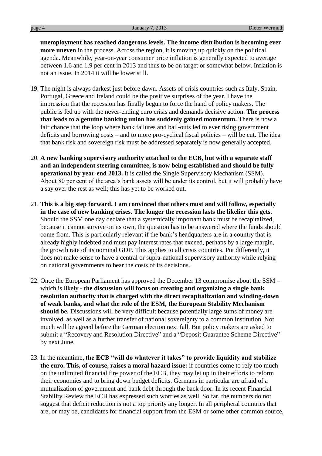**unemployment has reached dangerous levels. The income distribution is becoming ever more uneven** in the process. Across the region, it is moving up quickly on the political agenda. Meanwhile, year-on-year consumer price inflation is generally expected to average between 1.6 and 1.9 per cent in 2013 and thus to be on target or somewhat below. Inflation is not an issue. In 2014 it will be lower still.

- 19. The night is always darkest just before dawn. Assets of crisis countries such as Italy, Spain, Portugal, Greece and Ireland could be the positive surprises of the year. I have the impression that the recession has finally begun to force the hand of policy makers. The public is fed up with the never-ending euro crisis and demands decisive action. **The process that leads to a genuine banking union has suddenly gained momentum.** There is now a fair chance that the loop where bank failures and bail-outs led to ever rising government deficits and borrowing costs – and to more pro-cyclical fiscal policies – will be cut. The idea that bank risk and sovereign risk must be addressed separately is now generally accepted.
- 20. **A new banking supervisory authority attached to the ECB, but with a separate staff and an independent steering committee, is now being established and should be fully operational by year-end 2013.** It is called the Single Supervisory Mechanism (SSM). About 80 per cent of the area's bank assets will be under its control, but it will probably have a say over the rest as well; this has yet to be worked out.
- 21. **This is a big step forward. I am convinced that others must and will follow, especially in the case of new banking crises. The longer the recession lasts the likelier this gets.** Should the SSM one day declare that a systemically important bank must be recapitalized, because it cannot survive on its own, the question has to be answered where the funds should come from. This is particularly relevant if the bank's headquarters are in a country that is already highly indebted and must pay interest rates that exceed, perhaps by a large margin, the growth rate of its nominal GDP. This applies to all crisis countries. Put differently, it does not make sense to have a central or supra-national supervisory authority while relying on national governments to bear the costs of its decisions.
- 22. Once the European Parliament has approved the December 13 compromise about the SSM which is likely - **the discussion will focus on creating and organizing a single bank resolution authority that is charged with the direct recapitalization and winding-down of weak banks, and what the role of the ESM, the European Stability Mechanism should be.** Discussions will be very difficult because potentially large sums of money are involved, as well as a further transfer of national sovereignty to a common institution. Not much will be agreed before the German election next fall. But policy makers are asked to submit a "Recovery and Resolution Directive" and a "Deposit Guarantee Scheme Directive" by next June.
- 23. In the meantime**, the ECB "will do whatever it takes" to provide liquidity and stabilize the euro. This, of course, raises a moral hazard issue:** if countries come to rely too much on the unlimited financial fire power of the ECB, they may let up in their efforts to reform their economies and to bring down budget deficits. Germans in particular are afraid of a mutualization of government and bank debt through the back door. In its recent Financial Stability Review the ECB has expressed such worries as well. So far, the numbers do not suggest that deficit reduction is not a top priority any longer. In all peripheral countries that are, or may be, candidates for financial support from the ESM or some other common source,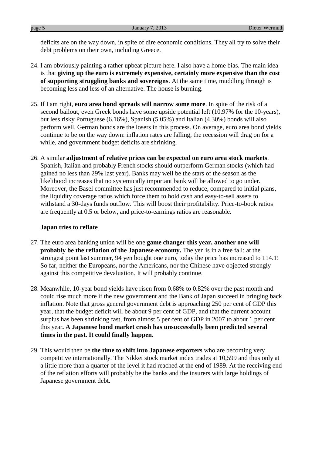deficits are on the way down, in spite of dire economic conditions. They all try to solve their debt problems on their own, including Greece.

- 24. I am obviously painting a rather upbeat picture here. I also have a home bias. The main idea is that **giving up the euro is extremely expensive, certainly more expensive than the cost of supporting struggling banks and sovereigns**. At the same time, muddling through is becoming less and less of an alternative. The house is burning.
- 25. If I am right, **euro area bond spreads will narrow some more**. In spite of the risk of a second bailout, even Greek bonds have some upside potential left (10.97% for the 10-years), but less risky Portuguese (6.16%), Spanish (5.05%) and Italian (4.30%) bonds will also perform well. German bonds are the losers in this process. On average, euro area bond yields continue to be on the way down: inflation rates are falling, the recession will drag on for a while, and government budget deficits are shrinking.
- 26. A similar **adjustment of relative prices can be expected on euro area stock markets**. Spanish, Italian and probably French stocks should outperform German stocks (which had gained no less than 29% last year). Banks may well be the stars of the season as the likelihood increases that no systemically important bank will be allowed to go under. Moreover, the Basel committee has just recommended to reduce, compared to initial plans, the liquidity coverage ratios which force them to hold cash and easy-to-sell assets to withstand a 30-days funds outflow. This will boost their profitability. Price-to-book ratios are frequently at 0.5 or below, and price-to-earnings ratios are reasonable.

#### **Japan tries to reflate**

- 27. The euro area banking union will be one **game changer this year, another one will probably be the reflation of the Japanese economy.** The yen is in a free fall: at the strongest point last summer, 94 yen bought one euro, today the price has increased to 114.1! So far, neither the Europeans, nor the Americans, nor the Chinese have objected strongly against this competitive devaluation. It will probably continue.
- 28. Meanwhile, 10-year bond yields have risen from 0.68% to 0.82% over the past month and could rise much more if the new government and the Bank of Japan succeed in bringing back inflation. Note that gross general government debt is approaching 250 per cent of GDP this year, that the budget deficit will be about 9 per cent of GDP, and that the current account surplus has been shrinking fast, from almost 5 per cent of GDP in 2007 to about 1 per cent this year**. A Japanese bond market crash has unsuccessfully been predicted several times in the past. It could finally happen.**
- 29. This would then be **the time to shift into Japanese exporters** who are becoming very competitive internationally. The Nikkei stock market index trades at 10,599 and thus only at a little more than a quarter of the level it had reached at the end of 1989. At the receiving end of the reflation efforts will probably be the banks and the insurers with large holdings of Japanese government debt.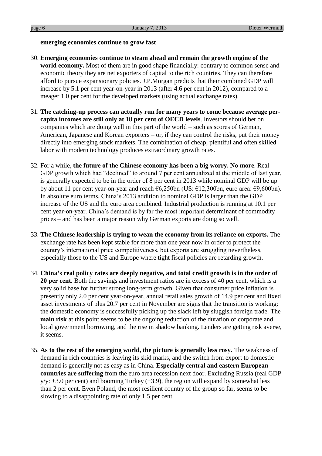#### **emerging economies continue to grow fast**

- 30. **Emerging economies continue to steam ahead and remain the growth engine of the world economy.** Most of them are in good shape financially: contrary to common sense and economic theory they are net exporters of capital to the rich countries. They can therefore afford to pursue expansionary policies. J.P.Morgan predicts that their combined GDP will increase by 5.1 per cent year-on-year in 2013 (after 4.6 per cent in 2012), compared to a meager 1.0 per cent for the developed markets (using actual exchange rates).
- 31. **The catching-up process can actually run for many years to come because average percapita incomes are still only at 18 per cent of OECD levels**. Investors should bet on companies which are doing well in this part of the world – such as scores of German, American, Japanese and Korean exporters – or, if they can control the risks, put their money directly into emerging stock markets. The combination of cheap, plentiful and often skilled labor with modern technology produces extraordinary growth rates.
- 32. For a while, **the future of the Chinese economy has been a big worry. No more**. Real GDP growth which had "declined" to around 7 per cent annualized at the middle of last year, is generally expected to be in the order of 8 per cent in 2013 while nominal GDP will be up by about 11 per cent year-on-year and reach  $\epsilon$ 6,250bn (US:  $\epsilon$ 12,300bn, euro area:  $\epsilon$ 9,600bn). In absolute euro terms, China's 2013 addition to nominal GDP is larger than the GDP increase of the US and the euro area combined. Industrial production is running at 10.1 per cent year-on-year. China's demand is by far the most important determinant of commodity prices – and has been a major reason why German exports are doing so well.
- 33. **The Chinese leadership is trying to wean the economy from its reliance on exports.** The exchange rate has been kept stable for more than one year now in order to protect the country's international price competitiveness, but exports are struggling nevertheless, especially those to the US and Europe where tight fiscal policies are retarding growth.
- 34. **China's real policy rates are deeply negative, and total credit growth is in the order of 20 per cent.** Both the savings and investment ratios are in excess of 40 per cent, which is a very solid base for further strong long-term growth. Given that consumer price inflation is presently only 2.0 per cent year-on-year, annual retail sales growth of 14.9 per cent and fixed asset investments of plus 20.7 per cent in November are signs that the transition is working: the domestic economy is successfully picking up the slack left by sluggish foreign trade. The **main risk** at this point seems to be the ongoing reduction of the duration of corporate and local government borrowing, and the rise in shadow banking. Lenders are getting risk averse, it seems.
- 35. **As to the rest of the emerging world, the picture is generally less rosy.** The weakness of demand in rich countries is leaving its skid marks, and the switch from export to domestic demand is generally not as easy as in China. **Especially central and eastern European countries are suffering** from the euro area recession next door. Excluding Russia (real GDP  $y/y: +3.0$  per cent) and booming Turkey  $(+3.9)$ , the region will expand by somewhat less than 2 per cent. Even Poland, the most resilient country of the group so far, seems to be slowing to a disappointing rate of only 1.5 per cent.